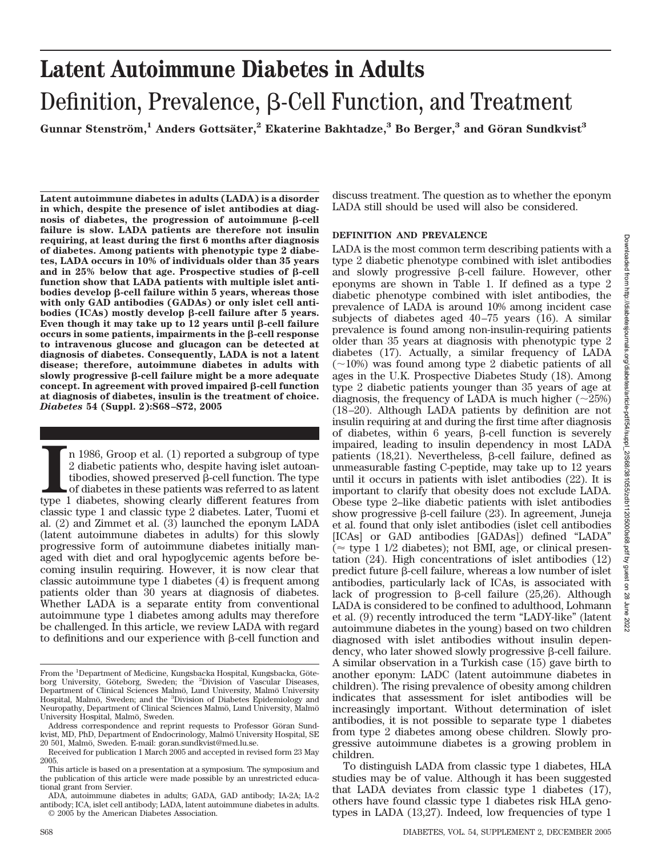# **Latent Autoimmune Diabetes in Adults** Definition, Prevalence,  $\beta$ -Cell Function, and Treatment

**Gunnar Stenstro¨m,<sup>1</sup> Anders Gottsa¨ter,2 Ekaterine Bakhtadze,3 Bo Berger,3 and Go¨ran Sundkvist3**

**Latent autoimmune diabetes in adults (LADA) is a disorder in which, despite the presence of islet antibodies at diag** $nosis$  of diabetes, the progression of autoimmune  $\beta$ -cell **failure is slow. LADA patients are therefore not insulin requiring, at least during the first 6 months after diagnosis of diabetes. Among patients with phenotypic type 2 diabetes, LADA occurs in 10% of individuals older than 35 years** and in  $25\%$  below that age. Prospective studies of  $\beta$ -cell **function show that LADA patients with multiple islet antibodies develop -cell failure within 5 years, whereas those with only GAD antibodies (GADAs) or only islet cell antibodies (ICAs)** mostly develop β-cell failure after 5 years. Even though it may take up to  $12$  years until  $\beta$ -cell failure  $occurs$  in some patients, impairments in the  $\beta$ -cell response **to intravenous glucose and glucagon can be detected at diagnosis of diabetes. Consequently, LADA is not a latent disease; therefore, autoimmune diabetes in adults with** slowly progressive  $\beta$ -cell failure might be a more adequate  $\mathbf{c}$  concept. In agreement with proved impaired  $\beta$ -cell function **at diagnosis of diabetes, insulin is the treatment of choice.** *Diabetes* **54 (Suppl. 2):S68–S72, 2005**

**I** n 1986, Groop et al. (1) reported a subgroup of type 2 diabetic patients who, despite having islet autoantibodies, showed preserved  $\beta$ -cell function. The type of diabetes in these patients was referred to as latent n 1986, Groop et al. (1) reported a subgroup of type 2 diabetic patients who, despite having islet autoan $tibodies, showed preserved  $\beta$ -cell function. The type$ of diabetes in these patients was referred to as latent classic type 1 and classic type 2 diabetes. Later, Tuomi et al. (2) and Zimmet et al. (3) launched the eponym LADA (latent autoimmune diabetes in adults) for this slowly progressive form of autoimmune diabetes initially managed with diet and oral hypoglycemic agents before becoming insulin requiring. However, it is now clear that classic autoimmune type 1 diabetes (4) is frequent among patients older than 30 years at diagnosis of diabetes. Whether LADA is a separate entity from conventional autoimmune type 1 diabetes among adults may therefore be challenged. In this article, we review LADA with regard to definitions and our experience with  $\beta$ -cell function and

discuss treatment. The question as to whether the eponym LADA still should be used will also be considered.

## **DEFINITION AND PREVALENCE**

LADA is the most common term describing patients with a type 2 diabetic phenotype combined with islet antibodies and slowly progressive  $\beta$ -cell failure. However, other eponyms are shown in Table 1. If defined as a type 2 diabetic phenotype combined with islet antibodies, the prevalence of LADA is around 10% among incident case subjects of diabetes aged 40-75 years (16). A similar prevalence is found among non-insulin-requiring patients older than 35 years at diagnosis with phenotypic type 2 diabetes (17). Actually, a similar frequency of LADA  $(\sim 10\%)$  was found among type 2 diabetic patients of all ages in the U.K. Prospective Diabetes Study (18). Among type 2 diabetic patients younger than 35 years of age at diagnosis, the frequency of LADA is much higher  $(\sim 25\%)$ (18 –20). Although LADA patients by definition are not insulin requiring at and during the first time after diagnosis of diabetes, within 6 years,  $\beta$ -cell function is severely impaired, leading to insulin dependency in most LADA patients (18,21). Nevertheless,  $\beta$ -cell failure, defined as unmeasurable fasting C-peptide, may take up to 12 years until it occurs in patients with islet antibodies (22). It is important to clarify that obesity does not exclude LADA. Obese type 2–like diabetic patients with islet antibodies show progressive  $\beta$ -cell failure (23). In agreement, Juneja et al. found that only islet antibodies (islet cell antibodies [ICAs] or GAD antibodies [GADAs]) defined "LADA" ( $\approx$  type 1 1/2 diabetes); not BMI, age, or clinical presentation (24). High concentrations of islet antibodies (12) predict future  $\beta$ -cell failure, whereas a low number of islet antibodies, particularly lack of ICAs, is associated with lack of progression to  $\beta$ -cell failure (25,26). Although LADA is considered to be confined to adulthood, Lohmann et al. (9) recently introduced the term "LADY-like" (latent autoimmune diabetes in the young) based on two children diagnosed with islet antibodies without insulin dependency, who later showed slowly progressive  $\beta$ -cell failure. A similar observation in a Turkish case (15) gave birth to another eponym: LADC (latent autoimmune diabetes in children). The rising prevalence of obesity among children indicates that assessment for islet antibodies will be increasingly important. Without determination of islet antibodies, it is not possible to separate type 1 diabetes from type 2 diabetes among obese children. Slowly progressive autoimmune diabetes is a growing problem in children.

To distinguish LADA from classic type 1 diabetes, HLA studies may be of value. Although it has been suggested that LADA deviates from classic type 1 diabetes (17), others have found classic type 1 diabetes risk HLA genotypes in LADA (13,27). Indeed, low frequencies of type 1

From the <sup>1</sup>Department of Medicine, Kungsbacka Hospital, Kungsbacka, Göteborg University, Göteborg, Sweden; the <sup>2</sup>Division of Vascular Diseases, Department of Clinical Sciences Malmö, Lund University, Malmö University Hospital, Malmö, Sweden; and the <sup>3</sup>Division of Diabetes Epidemiology and Neuropathy, Department of Clinical Sciences Malmö, Lund University, Malmö University Hospital, Malmö, Sweden.

Address correspondence and reprint requests to Professor Göran Sundkvist, MD, PhD, Department of Endocrinology, Malmö University Hospital, SE 20 501, Malmö, Sweden. E-mail: goran.sundkvist@med.lu.se.

Received for publication 1 March 2005 and accepted in revised form 23 May 2005.

This article is based on a presentation at a symposium. The symposium and the publication of this article were made possible by an unrestricted educational grant from Servier.

ADA, autoimmune diabetes in adults; GADA, GAD antibody; IA-2A; IA-2 antibody; ICA, islet cell antibody; LADA, latent autoimmune diabetes in adults.

<sup>© 2005</sup> by the American Diabetes Association.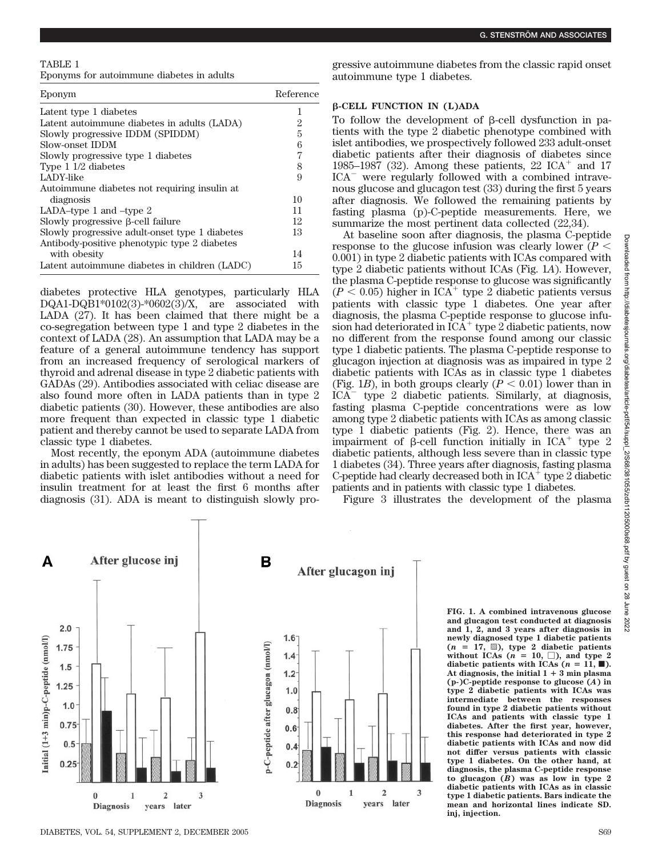#### **G. STENSTRO¨ M AND ASSOCIATES**

### TABLE 1

Eponyms for autoimmune diabetes in adults

| Eponym                                         | Reference |
|------------------------------------------------|-----------|
| Latent type 1 diabetes                         |           |
| Latent autoimmune diabetes in adults (LADA)    | 2         |
| Slowly progressive IDDM (SPIDDM)               | 5         |
| Slow-onset IDDM                                | 6         |
| Slowly progressive type 1 diabetes             | 7         |
| Type $1/2$ diabetes                            | 8         |
| LADY-like                                      | 9         |
| Autoimmune diabetes not requiring insulin at   |           |
| diagnosis                                      | 10        |
| LADA-type 1 and $-$ type 2                     | 11        |
| Slowly progressive β-cell failure              | 12        |
| Slowly progressive adult-onset type 1 diabetes | 13        |
| Antibody-positive phenotypic type 2 diabetes   |           |
| with obesity                                   | 14        |
| Latent autoimmune diabetes in children (LADC)  | 15        |

diabetes protective HLA genotypes, particularly HLA DQA1-DQB1\*0102(3)-\*0602(3)/X, are associated with LADA (27). It has been claimed that there might be a co-segregation between type 1 and type 2 diabetes in the context of LADA (28). An assumption that LADA may be a feature of a general autoimmune tendency has support from an increased frequency of serological markers of thyroid and adrenal disease in type 2 diabetic patients with GADAs (29). Antibodies associated with celiac disease are also found more often in LADA patients than in type 2 diabetic patients (30). However, these antibodies are also more frequent than expected in classic type 1 diabetic patient and thereby cannot be used to separate LADA from classic type 1 diabetes.

Most recently, the eponym ADA (autoimmune diabetes in adults) has been suggested to replace the term LADA for diabetic patients with islet antibodies without a need for insulin treatment for at least the first 6 months after diagnosis (31). ADA is meant to distinguish slowly progressive autoimmune diabetes from the classic rapid onset autoimmune type 1 diabetes.

## **-CELL FUNCTION IN (L)ADA**

To follow the development of  $\beta$ -cell dysfunction in patients with the type 2 diabetic phenotype combined with islet antibodies, we prospectively followed 233 adult-onset diabetic patients after their diagnosis of diabetes since 1985–1987 (32). Among these patients, 22  $\text{ICA}^+$  and 17  $ICA^-$  were regularly followed with a combined intravenous glucose and glucagon test (33) during the first 5 years after diagnosis. We followed the remaining patients by fasting plasma (p)-C-peptide measurements. Here, we summarize the most pertinent data collected (22,34).

At baseline soon after diagnosis, the plasma C-peptide response to the glucose infusion was clearly lower  $(P \leq$ 0.001) in type 2 diabetic patients with ICAs compared with type 2 diabetic patients without ICAs (Fig. 1*A*). However, the plasma C-peptide response to glucose was significantly  $(P \le 0.05)$  higher in ICA<sup>+</sup> type 2 diabetic patients versus patients with classic type 1 diabetes. One year after diagnosis, the plasma C-peptide response to glucose infusion had deteriorated in  $ICA^+$  type 2 diabetic patients, now no different from the response found among our classic type 1 diabetic patients. The plasma C-peptide response to glucagon injection at diagnosis was as impaired in type 2 diabetic patients with ICAs as in classic type 1 diabetes (Fig. 1*B*), in both groups clearly  $(P < 0.01)$  lower than in  $\overrightarrow{ICA}$  type 2 diabetic patients. Similarly, at diagnosis, fasting plasma C-peptide concentrations were as low among type 2 diabetic patients with ICAs as among classic type 1 diabetic patients (Fig. 2). Hence, there was an impairment of  $\beta$ -cell function initially in ICA<sup>+</sup> type 2 diabetic patients, although less severe than in classic type 1 diabetes (34). Three years after diagnosis, fasting plasma C-peptide had clearly decreased both in  $ICA<sup>+</sup>$  type 2 diabetic patients and in patients with classic type 1 diabetes.

Figure 3 illustrates the development of the plasma



**FIG. 1. A combined intravenous glucose and glucagon test conducted at diagnosis and 1, 2, and 3 years after diagnosis in newly diagnosed type 1 diabetic patients**  $(n = 17, \overline{\mathbb{S}})$ , type 2 diabetic patients without ICAs  $(n = 10, \Box)$ , and type 2 diabetic patients with ICAs  $(n = 11, \blacksquare)$ . At diagnosis, the initial  $1 + 3$  min plasma **(p-)C-peptide response to glucose (***A***) in type 2 diabetic patients with ICAs was intermediate between the responses found in type 2 diabetic patients without ICAs and patients with classic type 1 diabetes. After the first year, however, this response had deteriorated in type 2 diabetic patients with ICAs and now did not differ versus patients with classic type 1 diabetes. On the other hand, at diagnosis, the plasma C-peptide response to glucagon (***B***) was as low in type 2 diabetic patients with ICAs as in classic type 1 diabetic patients. Bars indicate the mean and horizontal lines indicate SD. inj, injection.**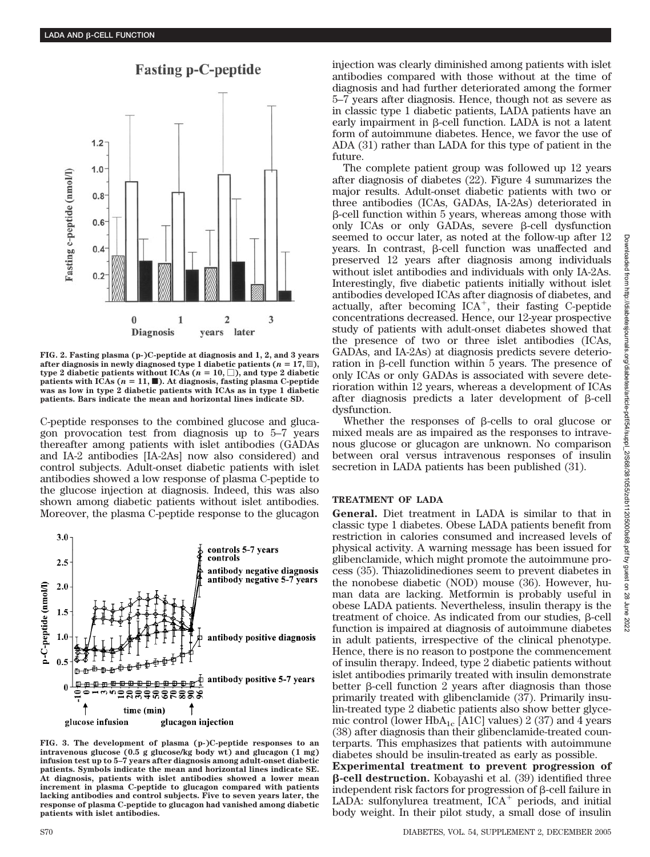

**Fasting p-C-peptide** 

**FIG. 2. Fasting plasma (p-)C-peptide at diagnosis and 1, 2, and 3 years** after diagnosis in newly diagnosed type 1 diabetic patients ( $n = 17$ ,  $\textcircled{3}$ ),  $\tt type 2 diabetic patients without ICAs ( $n = 10, \Box$ ), and type 2 diabetic$ patients with ICAs  $(n = 11, \blacksquare)$ . At diagnosis, fasting plasma C-peptide **was as low in type 2 diabetic patients with ICAs as in type 1 diabetic patients. Bars indicate the mean and horizontal lines indicate SD.**

C-peptide responses to the combined glucose and glucagon provocation test from diagnosis up to 5–7 years thereafter among patients with islet antibodies (GADAs and IA-2 antibodies [IA-2As] now also considered) and control subjects. Adult-onset diabetic patients with islet antibodies showed a low response of plasma C-peptide to the glucose injection at diagnosis. Indeed, this was also shown among diabetic patients without islet antibodies. Moreover, the plasma C-peptide response to the glucagon



**FIG. 3. The development of plasma (p-)C-peptide responses to an intravenous glucose (0.5 g glucose/kg body wt) and glucagon (1 mg) infusion test up to 5–7 years after diagnosis among adult-onset diabetic patients. Symbols indicate the mean and horizontal lines indicate SE. At diagnosis, patients with islet antibodies showed a lower mean increment in plasma C-peptide to glucagon compared with patients lacking antibodies and control subjects. Five to seven years later, the response of plasma C-peptide to glucagon had vanished among diabetic patients with islet antibodies.**

injection was clearly diminished among patients with islet antibodies compared with those without at the time of diagnosis and had further deteriorated among the former 5–7 years after diagnosis. Hence, though not as severe as in classic type 1 diabetic patients, LADA patients have an early impairment in  $\beta$ -cell function. LADA is not a latent form of autoimmune diabetes. Hence, we favor the use of ADA (31) rather than LADA for this type of patient in the future.

The complete patient group was followed up 12 years after diagnosis of diabetes (22). Figure 4 summarizes the major results. Adult-onset diabetic patients with two or three antibodies (ICAs, GADAs, IA-2As) deteriorated in  $\beta$ -cell function within 5 years, whereas among those with only ICAs or only GADAs, severe  $\beta$ -cell dysfunction seemed to occur later, as noted at the follow-up after 12 years. In contrast,  $\beta$ -cell function was unaffected and preserved 12 years after diagnosis among individuals without islet antibodies and individuals with only IA-2As. Interestingly, five diabetic patients initially without islet antibodies developed ICAs after diagnosis of diabetes, and actually, after becoming  $ICA^+$ , their fasting C-peptide concentrations decreased. Hence, our 12-year prospective study of patients with adult-onset diabetes showed that the presence of two or three islet antibodies (ICAs, GADAs, and IA-2As) at diagnosis predicts severe deterioration in  $\beta$ -cell function within 5 years. The presence of only ICAs or only GADAs is associated with severe deterioration within 12 years, whereas a development of ICAs after diagnosis predicts a later development of  $\beta$ -cell dysfunction.

Whether the responses of  $\beta$ -cells to oral glucose or mixed meals are as impaired as the responses to intravenous glucose or glucagon are unknown. No comparison between oral versus intravenous responses of insulin secretion in LADA patients has been published (31).

## **TREATMENT OF LADA**

**General.** Diet treatment in LADA is similar to that in classic type 1 diabetes. Obese LADA patients benefit from restriction in calories consumed and increased levels of physical activity. A warning message has been issued for glibenclamide, which might promote the autoimmune process (35). Thiazolidinediones seem to prevent diabetes in the nonobese diabetic (NOD) mouse (36). However, human data are lacking. Metformin is probably useful in obese LADA patients. Nevertheless, insulin therapy is the treatment of choice. As indicated from our studies,  $\beta$ -cell function is impaired at diagnosis of autoimmune diabetes in adult patients, irrespective of the clinical phenotype. Hence, there is no reason to postpone the commencement of insulin therapy. Indeed, type 2 diabetic patients without islet antibodies primarily treated with insulin demonstrate better  $\beta$ -cell function 2 years after diagnosis than those primarily treated with glibenclamide (37). Primarily insulin-treated type 2 diabetic patients also show better glycemic control (lower HbA<sub>1c</sub> [A1C] values) 2 (37) and 4 years (38) after diagnosis than their glibenclamide-treated counterparts. This emphasizes that patients with autoimmune diabetes should be insulin-treated as early as possible.

**Experimental treatment to prevent progression of -cell destruction.** Kobayashi et al. (39) identified three independent risk factors for progression of  $\beta$ -cell failure in LADA: sulfonylurea treatment,  $ICA^+$  periods, and initial body weight. In their pilot study, a small dose of insulin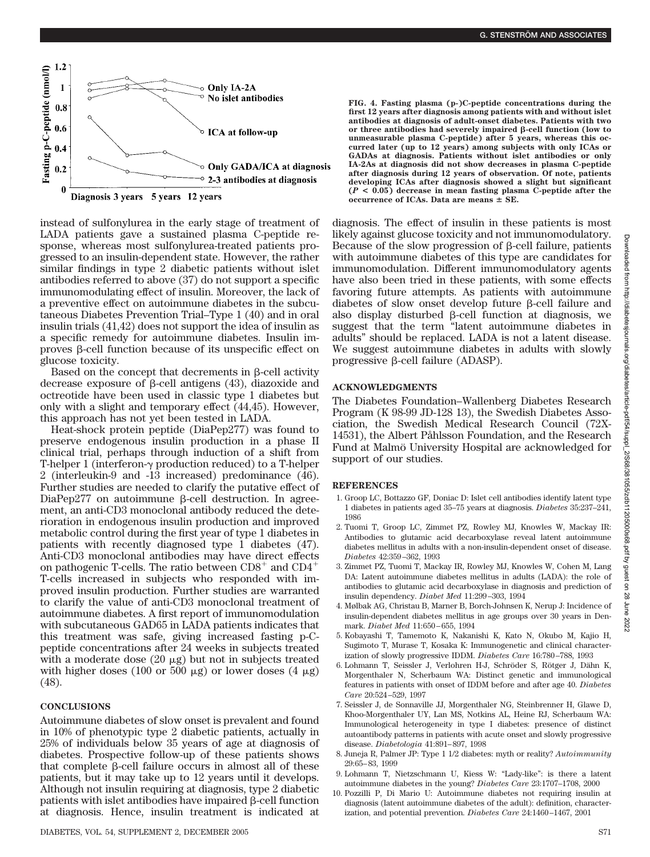

instead of sulfonylurea in the early stage of treatment of LADA patients gave a sustained plasma C-peptide response, whereas most sulfonylurea-treated patients progressed to an insulin-dependent state. However, the rather similar findings in type 2 diabetic patients without islet antibodies referred to above (37) do not support a specific immunomodulating effect of insulin. Moreover, the lack of a preventive effect on autoimmune diabetes in the subcutaneous Diabetes Prevention Trial–Type 1 (40) and in oral insulin trials (41,42) does not support the idea of insulin as a specific remedy for autoimmune diabetes. Insulin improves  $\beta$ -cell function because of its unspecific effect on glucose toxicity.

Based on the concept that decrements in  $\beta$ -cell activity decrease exposure of  $\beta$ -cell antigens (43), diazoxide and octreotide have been used in classic type 1 diabetes but only with a slight and temporary effect (44,45). However, this approach has not yet been tested in LADA.

Heat-shock protein peptide (DiaPep277) was found to preserve endogenous insulin production in a phase II clinical trial, perhaps through induction of a shift from T-helper 1 (interferon- $\gamma$  production reduced) to a T-helper 2 (interleukin-9 and -13 increased) predominance (46). Further studies are needed to clarify the putative effect of DiaPep277 on autoimmune  $\beta$ -cell destruction. In agreement, an anti-CD3 monoclonal antibody reduced the deterioration in endogenous insulin production and improved metabolic control during the first year of type 1 diabetes in patients with recently diagnosed type 1 diabetes (47). Anti-CD3 monoclonal antibodies may have direct effects on pathogenic T-cells. The ratio between  $CD8^+$  and  $CD4^+$ T-cells increased in subjects who responded with improved insulin production. Further studies are warranted to clarify the value of anti-CD3 monoclonal treatment of autoimmune diabetes. A first report of immunomodulation with subcutaneous GAD65 in LADA patients indicates that this treatment was safe, giving increased fasting p-Cpeptide concentrations after 24 weeks in subjects treated with a moderate dose  $(20 \mu g)$  but not in subjects treated with higher doses (100 or 500  $\mu$ g) or lower doses (4  $\mu$ g) (48).

### **CONCLUSIONS**

Autoimmune diabetes of slow onset is prevalent and found in 10% of phenotypic type 2 diabetic patients, actually in 25% of individuals below 35 years of age at diagnosis of diabetes. Prospective follow-up of these patients shows that complete  $\beta$ -cell failure occurs in almost all of these patients, but it may take up to 12 years until it develops. Although not insulin requiring at diagnosis, type 2 diabetic patients with islet antibodies have impaired  $\beta$ -cell function at diagnosis. Hence, insulin treatment is indicated at

**FIG. 4. Fasting plasma (p-)C-peptide concentrations during the first 12 years after diagnosis among patients with and without islet antibodies at diagnosis of adult-onset diabetes. Patients with two or three antibodies had severely impaired -cell function (low to unmeasurable plasma C-peptide) after 5 years, whereas this occurred later (up to 12 years) among subjects with only ICAs or GADAs at diagnosis. Patients without islet antibodies or only IA-2As at diagnosis did not show decreases in plasma C-peptide after diagnosis during 12 years of observation. Of note, patients developing ICAs after diagnosis showed a slight but significant (***P* **< 0.05) decrease in mean fasting plasma C-peptide after the occurrence of ICAs. Data are means SE.**

diagnosis. The effect of insulin in these patients is most likely against glucose toxicity and not immunomodulatory. Because of the slow progression of  $\beta$ -cell failure, patients with autoimmune diabetes of this type are candidates for immunomodulation. Different immunomodulatory agents have also been tried in these patients, with some effects favoring future attempts. As patients with autoimmune diabetes of slow onset develop future  $\beta$ -cell failure and also display disturbed  $\beta$ -cell function at diagnosis, we suggest that the term "latent autoimmune diabetes in adults" should be replaced. LADA is not a latent disease. We suggest autoimmune diabetes in adults with slowly progressive  $\beta$ -cell failure (ADASP).

## **ACKNOWLEDGMENTS**

The Diabetes Foundation–Wallenberg Diabetes Research Program (K 98-99 JD-128 13), the Swedish Diabetes Association, the Swedish Medical Research Council (72X-14531), the Albert Påhlsson Foundation, and the Research Fund at Malmö University Hospital are acknowledged for support of our studies.

## **REFERENCES**

- 1. Groop LC, Bottazzo GF, Doniac D: Islet cell antibodies identify latent type 1 diabetes in patients aged 35–75 years at diagnosis. *Diabetes* 35:237–241, 1986
- 2. Tuomi T, Groop LC, Zimmet PZ, Rowley MJ, Knowles W, Mackay IR: Antibodies to glutamic acid decarboxylase reveal latent autoimmune diabetes mellitus in adults with a non-insulin-dependent onset of disease. *Diabetes* 42:359 –362, 1993
- 3. Zimmet PZ, Tuomi T, Mackay IR, Rowley MJ, Knowles W, Cohen M, Lang DA: Latent autoimmune diabetes mellitus in adults (LADA): the role of antibodies to glutamic acid decarboxylase in diagnosis and prediction of insulin dependency. *Diabet Med* 11:299 –303, 1994
- 4. Mølbak AG, Christau B, Marner B, Borch-Johnsen K, Nerup J: Incidence of insulin-dependent diabetes mellitus in age groups over 30 years in Denmark. *Diabet Med* 11:650 – 655, 1994
- 5. Kobayashi T, Tamemoto K, Nakanishi K, Kato N, Okubo M, Kajio H, Sugimoto T, Murase T, Kosaka K: Immunogenetic and clinical characterization of slowly progressive IDDM. *Diabetes Care* 16:780 –788, 1993
- 6. Lohmann T, Seissler J, Verlohren H-J, Schröder S, Rötger J, Dähn K, Morgenthaler N, Scherbaum WA: Distinct genetic and immunological features in patients with onset of IDDM before and after age 40. *Diabetes Care* 20:524 –529, 1997
- 7. Seissler J, de Sonnaville JJ, Morgenthaler NG, Steinbrenner H, Glawe D, Khoo-Morgenthaler UY, Lan MS, Notkins AL, Heine RJ, Scherbaum WA: Immunological heterogeneity in type I diabetes: presence of distinct autoantibody patterns in patients with acute onset and slowly progressive disease. *Diabetologia* 41:891– 897, 1998
- 8. Juneja R, Palmer JP: Type 1 1/2 diabetes: myth or reality? *Autoimmunity* 29:65– 83, 1999
- 9. Lohmann T, Nietzschmann U, Kiess W: "Lady-like": is there a latent autoimmune diabetes in the young? *Diabetes Care* 23:1707–1708, 2000
- 10. Pozzilli P, Di Mario U: Autoimmune diabetes not requiring insulin at diagnosis (latent autoimmune diabetes of the adult): definition, characterization, and potential prevention. *Diabetes Care* 24:1460 –1467, 2001